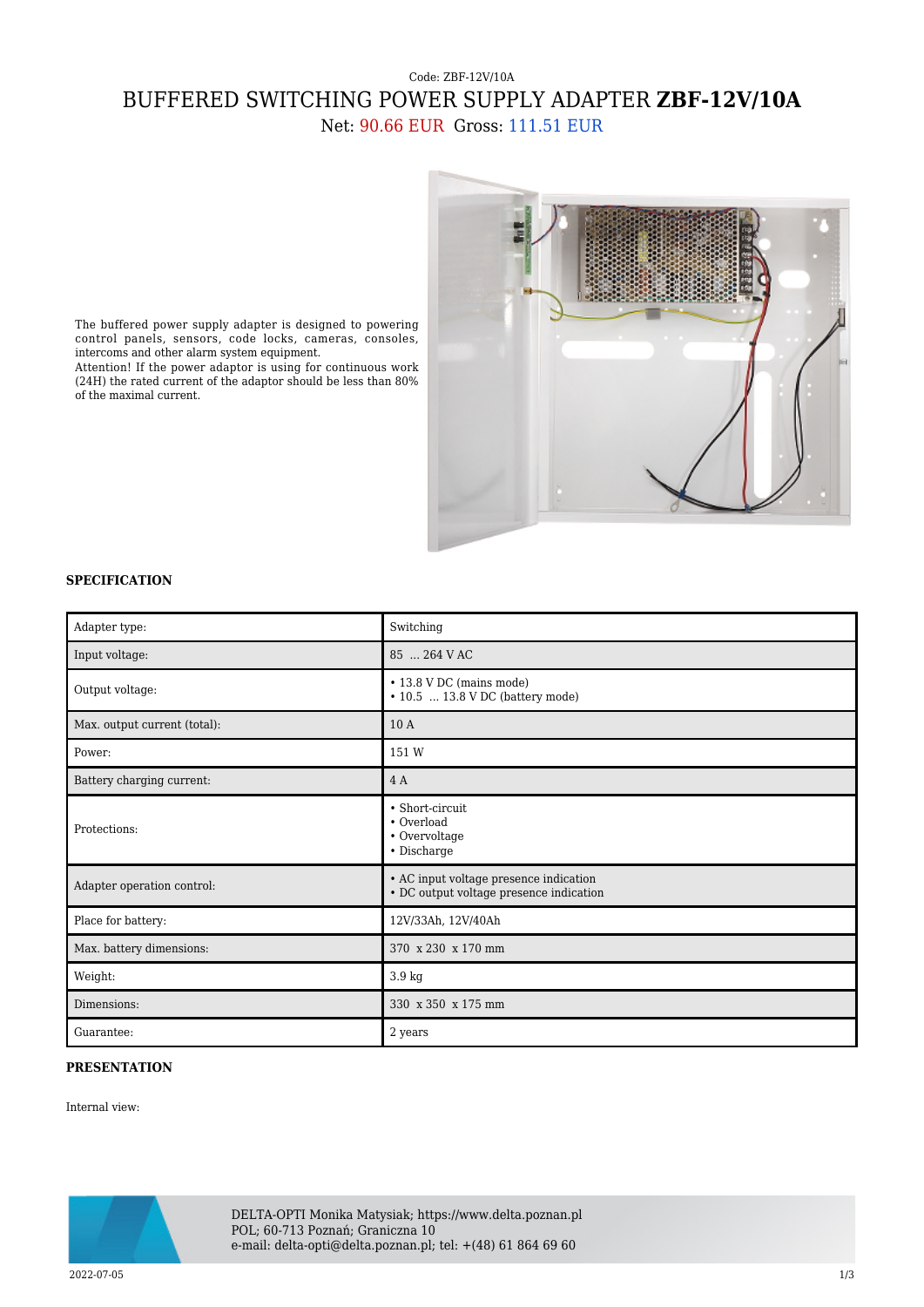## Code: ZBF-12V/10A BUFFERED SWITCHING POWER SUPPLY ADAPTER **ZBF-12V/10A** Net: 90.66 EUR Gross: 111.51 EUR



The buffered power supply adapter is designed to powering control panels, sensors, code locks, cameras, consoles, intercoms and other alarm system equipment.

Attention! If the power adaptor is using for continuous work (24H) the rated current of the adaptor should be less than 80% of the maximal current.

## **SPECIFICATION**

| Adapter type:                | Switching                                                                         |
|------------------------------|-----------------------------------------------------------------------------------|
| Input voltage:               | 85  264 V AC                                                                      |
| Output voltage:              | • 13.8 V DC (mains mode)<br>$\cdot$ 10.5  13.8 V DC (battery mode)                |
| Max. output current (total): | 10 A                                                                              |
| Power:                       | 151 W                                                                             |
| Battery charging current:    | 4 A                                                                               |
| Protections:                 | • Short-circuit<br>• Overload<br>• Overvoltage<br>• Discharge                     |
| Adapter operation control:   | • AC input voltage presence indication<br>• DC output voltage presence indication |
| Place for battery:           | 12V/33Ah, 12V/40Ah                                                                |
| Max. battery dimensions:     | 370 x 230 x 170 mm                                                                |
| Weight:                      | 3.9 kg                                                                            |
| Dimensions:                  | 330 x 350 x 175 mm                                                                |
| Guarantee:                   | 2 years                                                                           |

## **PRESENTATION**

Internal view:



DELTA-OPTI Monika Matysiak; https://www.delta.poznan.pl POL; 60-713 Poznań; Graniczna 10 e-mail: delta-opti@delta.poznan.pl; tel: +(48) 61 864 69 60

2022-07-05 1/3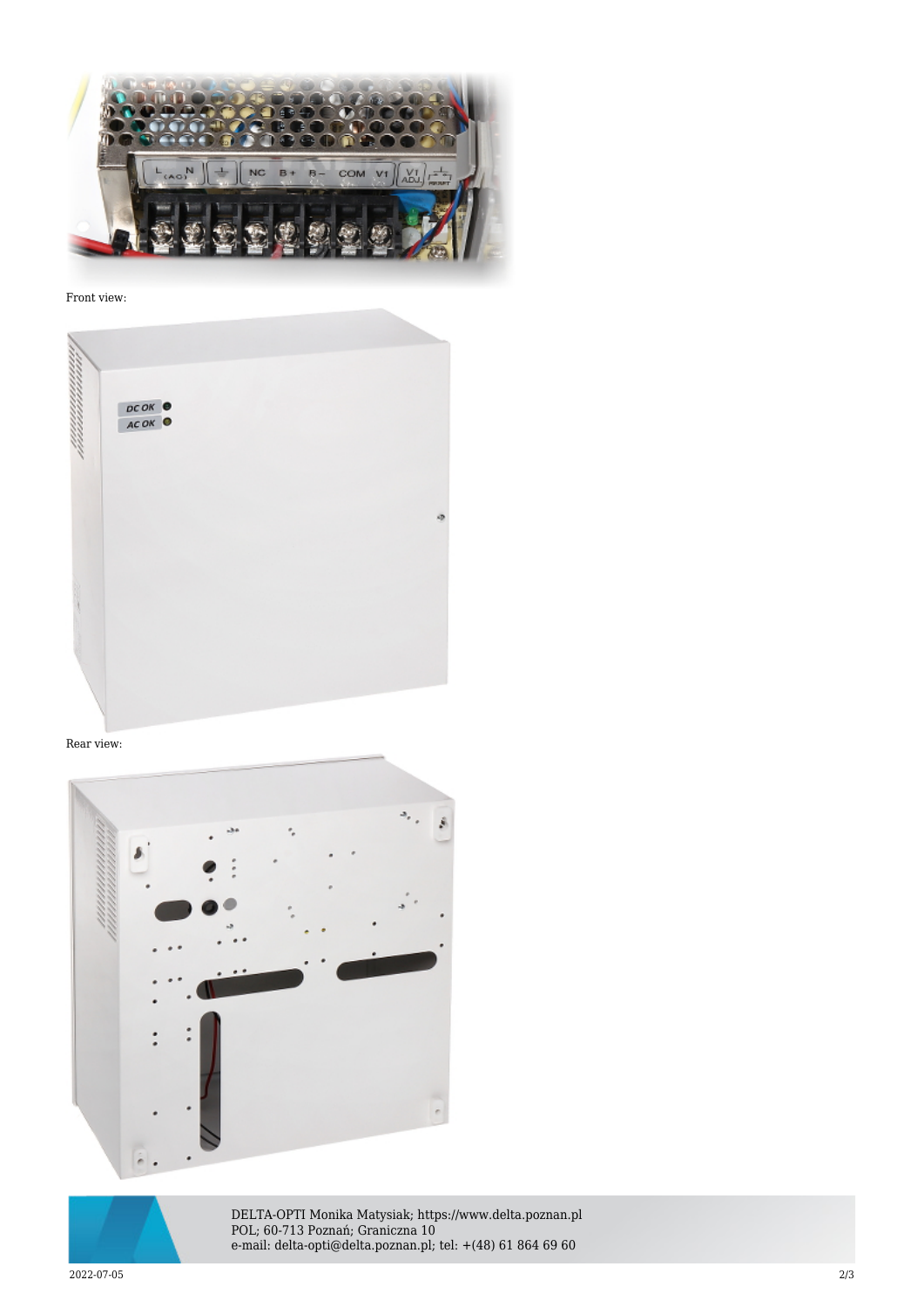

Front view:



## Rear view:





DELTA-OPTI Monika Matysiak; https://www.delta.poznan.pl POL; 60-713 Poznań; Graniczna 10 e-mail: delta-opti@delta.poznan.pl; tel: +(48) 61 864 69 60

2022-07-05 2/3